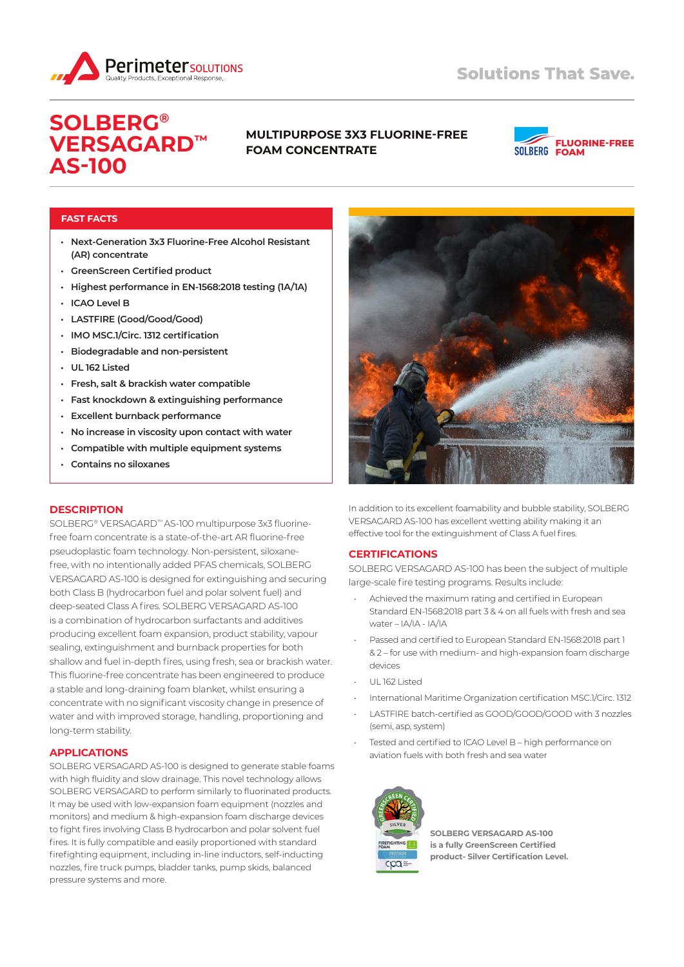



# **SOLBERG® VERSAGARD™ AS-100**

# **MULTIPURPOSE 3X3 FLUORINE-FREE FOAM CONCENTRATE**



# **FAST FACTS**

- **• Next-Generation 3x3 Fluorine-Free Alcohol Resistant (AR) concentrate**
- **• GreenScreen Certified product**
- **• Highest performance in EN-1568:2018 testing (1A/1A)**
- **• ICAO Level B**
- **• LASTFIRE (Good/Good/Good)**
- **• IMO MSC.1/Circ. 1312 certification**
- **• Biodegradable and non-persistent**
- **• UL 162 Listed**
- **• Fresh, salt & brackish water compatible**
- **• Fast knockdown & extinguishing performance**
- **• Excellent burnback performance**
- **• No increase in viscosity upon contact with water**
- **• Compatible with multiple equipment systems**
- **• Contains no siloxanes**

## **DESCRIPTION**

SOLBERG® VERSAGARD™ AS-100 multipurpose 3x3 fluorinefree foam concentrate is a state-of-the-art AR fluorine-free pseudoplastic foam technology. Non-persistent, siloxanefree, with no intentionally added PFAS chemicals, SOLBERG VERSAGARD AS-100 is designed for extinguishing and securing both Class B (hydrocarbon fuel and polar solvent fuel) and deep-seated Class A fires. SOLBERG VERSAGARD AS-100 is a combination of hydrocarbon surfactants and additives producing excellent foam expansion, product stability, vapour sealing, extinguishment and burnback properties for both shallow and fuel in-depth fires, using fresh, sea or brackish water. This fluorine-free concentrate has been engineered to produce a stable and long-draining foam blanket, whilst ensuring a concentrate with no significant viscosity change in presence of water and with improved storage, handling, proportioning and long-term stability.

### **APPLICATIONS**

SOLBERG VERSAGARD AS-100 is designed to generate stable foams with high fluidity and slow drainage. This novel technology allows SOLBERG VERSAGARD to perform similarly to fluorinated products. It may be used with low-expansion foam equipment (nozzles and monitors) and medium & high-expansion foam discharge devices to fight fires involving Class B hydrocarbon and polar solvent fuel fires. It is fully compatible and easily proportioned with standard firefighting equipment, including in-line inductors, self-inducting nozzles, fire truck pumps, bladder tanks, pump skids, balanced pressure systems and more.



In addition to its excellent foamability and bubble stability, SOLBERG VERSAGARD AS-100 has excellent wetting ability making it an effective tool for the extinguishment of Class A fuel fires.

#### **CERTIFICATIONS**

SOLBERG VERSAGARD AS-100 has been the subject of multiple large-scale fire testing programs. Results include:

- Achieved the maximum rating and certified in European Standard EN-1568:2018 part 3 & 4 on all fuels with fresh and sea  $W \triangleq \frac{1}{2} \left( \frac{1}{2} \right) = \frac{1}{2} \left( \frac{1}{2} \right)$
- Passed and certified to European Standard EN-1568:2018 part 1 & 2 – for use with medium- and high-expansion foam discharge devices
- UL 162 Listed
- International Maritime Organization certification MSC.1/Circ. 1312
- LASTFIRE batch-certified as GOOD/GOOD/GOOD with 3 nozzles (semi, asp, system)
- Tested and certified to ICAO Level B high performance on aviation fuels with both fresh and sea water



**SOLBERG VERSAGARD AS-100 is a fully GreenScreen Certified product- Silver Certification Level.**